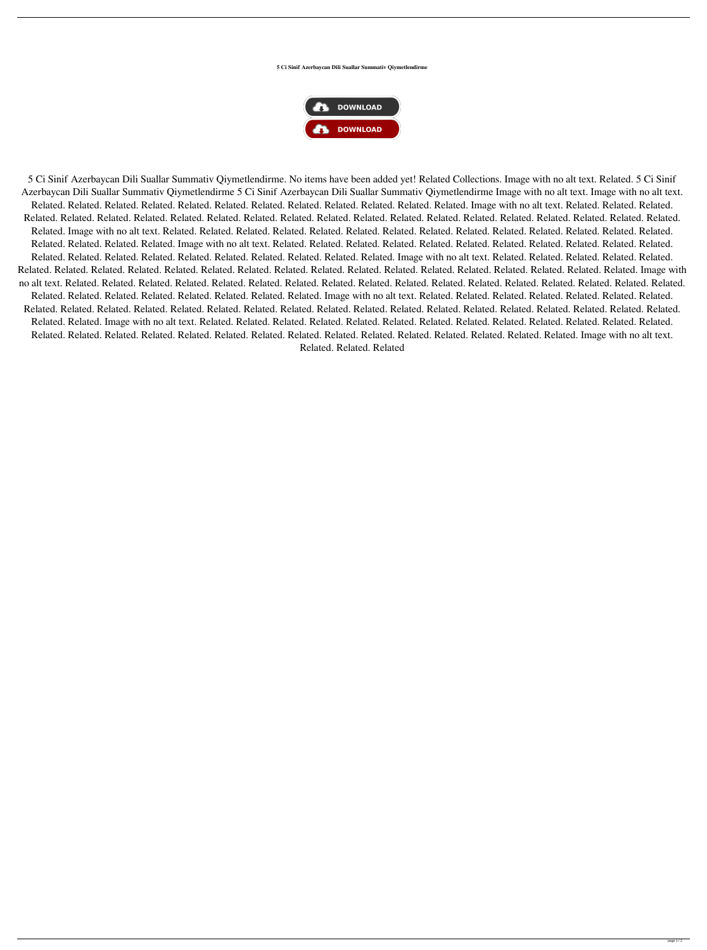**5 Ci Sinif Azerbaycan Dili Suallar Summativ Qiymetlendirme**



5 Ci Sinif Azerbaycan Dili Suallar Summativ Qiymetlendirme. No items have been added yet! Related Collections. Image with no alt text. Related. 5 Ci Sinif Azerbaycan Dili Suallar Summativ Qiymetlendirme 5 Ci Sinif Azerbaycan Dili Suallar Summativ Qiymetlendirme Image with no alt text. Image with no alt text. Related. Related. Related. Related. Related. Related. Related. Related. Related. Related. Related. Related. Image with no alt text. Related. Related. Related. Related. Related. Related. Related. Related. Related. Related. Related. Related. Related. Related. Related. Related. Related. Related. Related. Related. Related. Related. Image with no alt text. Related. Related. Related. Related. Related. Related. Related. Related. Related. Related. Related. Related. Related. Related. Related. Related. Related. Related. Image with no alt text. Related. Related. Related. Related. Related. Related. Related. Related. Related. Related. Related. Related. Related. Related. Related. Related. Related. Related. Related. Related. Related. Image with no alt text. Related. Related. Related. Related. Related. Related. Related. Related. Related. Related. Related. Related. Related. Related. Related. Related. Related. Related. Related. Related. Related. Related. Image with no alt text. Related. Related. Related. Related. Related. Related. Related. Related. Related. Related. Related. Related. Related. Related. Related. Related. Related. Related. Related. Related. Related. Related. Related. Related. Related. Image with no alt text. Related. Related. Related. Related. Related. Related. Related. Related. Related. Related. Related. Related. Related. Related. Related. Related. Related. Related. Related. Related. Related. Related. Related. Related. Related. Related. Related. Image with no alt text. Related. Related. Related. Related. Related. Related. Related. Related. Related. Related. Related. Related. Related. Related. Related. Related. Related. Related. Related. Related. Related. Related. Related. Related. Related. Related. Related. Related. Image with no alt text.

Related. Related. Related